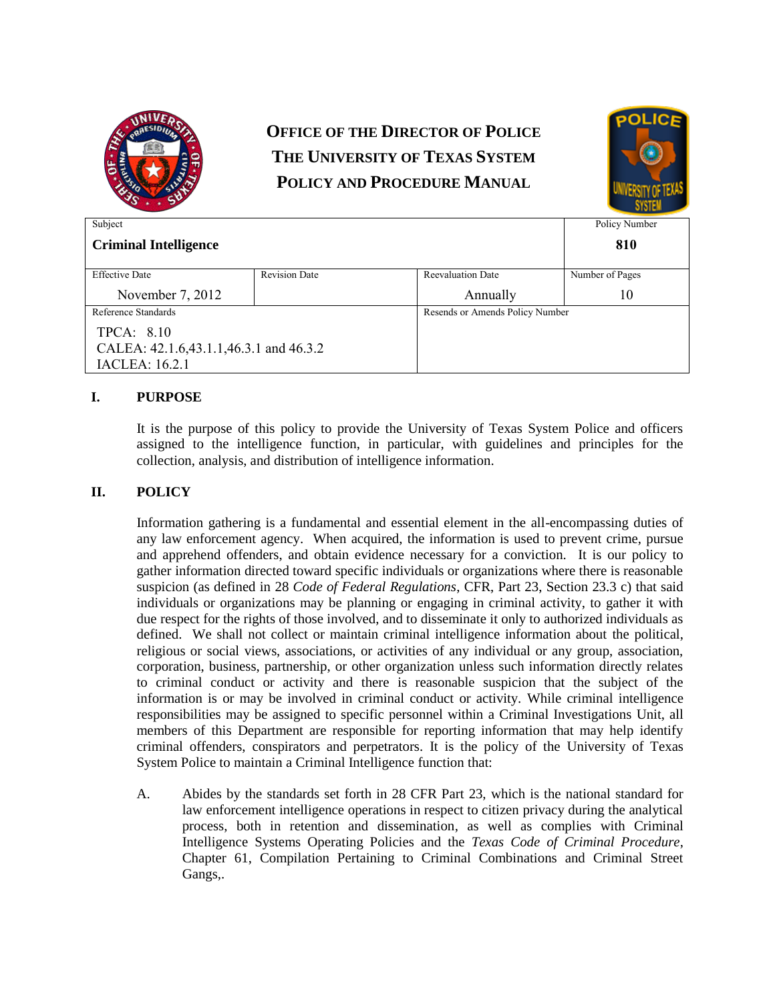

# **OFFICE OF THE DIRECTOR OF POLICE THE UNIVERSITY OF TEXAS SYSTEM POLICY AND PROCEDURE MANUAL**



| Subject                                |                      |                                 | Policy Number   |
|----------------------------------------|----------------------|---------------------------------|-----------------|
| <b>Criminal Intelligence</b>           |                      |                                 | 810             |
| <b>Effective Date</b>                  | <b>Revision Date</b> | <b>Reevaluation Date</b>        | Number of Pages |
| November 7, 2012                       |                      | Annually                        | 10              |
| Reference Standards                    |                      | Resends or Amends Policy Number |                 |
| TPCA: 8.10                             |                      |                                 |                 |
| CALEA: 42.1.6,43.1.1,46.3.1 and 46.3.2 |                      |                                 |                 |
| <b>IACLEA</b> : 16.2.1                 |                      |                                 |                 |

# **I. PURPOSE**

It is the purpose of this policy to provide the University of Texas System Police and officers assigned to the intelligence function, in particular, with guidelines and principles for the collection, analysis, and distribution of intelligence information.

## **II. POLICY**

Information gathering is a fundamental and essential element in the all-encompassing duties of any law enforcement agency. When acquired, the information is used to prevent crime, pursue and apprehend offenders, and obtain evidence necessary for a conviction. It is our policy to gather information directed toward specific individuals or organizations where there is reasonable suspicion (as defined in 28 *Code of Federal Regulations*, CFR, Part 23, Section 23.3 c) that said individuals or organizations may be planning or engaging in criminal activity, to gather it with due respect for the rights of those involved, and to disseminate it only to authorized individuals as defined. We shall not collect or maintain criminal intelligence information about the political, religious or social views, associations, or activities of any individual or any group, association, corporation, business, partnership, or other organization unless such information directly relates to criminal conduct or activity and there is reasonable suspicion that the subject of the information is or may be involved in criminal conduct or activity. While criminal intelligence responsibilities may be assigned to specific personnel within a Criminal Investigations Unit, all members of this Department are responsible for reporting information that may help identify criminal offenders, conspirators and perpetrators. It is the policy of the University of Texas System Police to maintain a Criminal Intelligence function that:

A. Abides by the standards set forth in 28 CFR Part 23, which is the national standard for law enforcement intelligence operations in respect to citizen privacy during the analytical process, both in retention and dissemination, as well as complies with Criminal Intelligence Systems Operating Policies and the *Texas Code of Criminal Procedure*, Chapter 61, Compilation Pertaining to Criminal Combinations and Criminal Street Gangs,.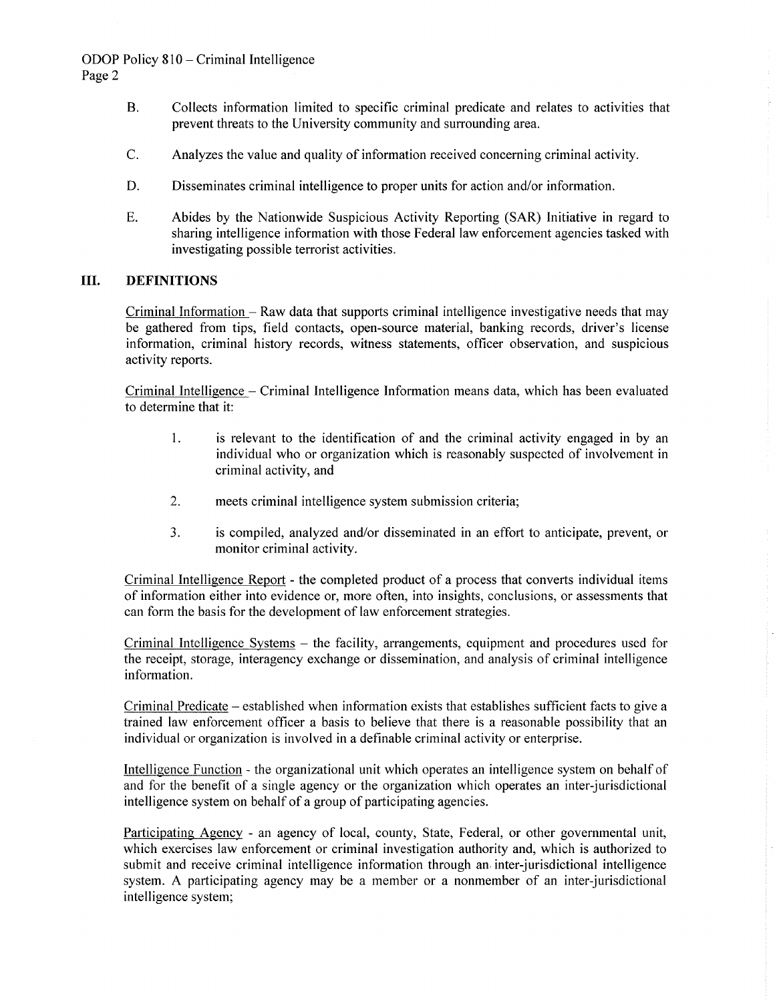# ODOP Policy 810 – Criminal Intelligence Page 2

- **B.** Collects information limited to specific criminal predicate and relates to activities that prevent threats to the University community and surrounding area.
- C. Analyzes the value and quality of information received concerning criminal activity.
- D. Disseminates criminal intelligence to proper units for action and/or information.
- E. Abides by the Nationwide Suspicious Activity Reporting (SAR) Initiative in regard to sharing intelligence information with those Federal law enforcement agencies tasked with investigating possible terrorist activities.

### Ш. **DEFINITIONS**

Criminal Information – Raw data that supports criminal intelligence investigative needs that may be gathered from tips, field contacts, open-source material, banking records, driver's license information, criminal history records, witness statements, officer observation, and suspicious activity reports.

Criminal Intelligence - Criminal Intelligence Information means data, which has been evaluated to determine that it:

- is relevant to the identification of and the criminal activity engaged in by an 1. individual who or organization which is reasonably suspected of involvement in criminal activity, and
- $2.$ meets criminal intelligence system submission criteria;
- $3.$ is compiled, analyzed and/or disseminated in an effort to anticipate, prevent, or monitor criminal activity.

Criminal Intelligence Report - the completed product of a process that converts individual items of information either into evidence or, more often, into insights, conclusions, or assessments that can form the basis for the development of law enforcement strategies.

Criminal Intelligence Systems – the facility, arrangements, equipment and procedures used for the receipt, storage, interagency exchange or dissemination, and analysis of criminal intelligence information.

Criminal Predicate – established when information exists that establishes sufficient facts to give a trained law enforcement officer a basis to believe that there is a reasonable possibility that an individual or organization is involved in a definable criminal activity or enterprise.

Intelligence Function - the organizational unit which operates an intelligence system on behalf of and for the benefit of a single agency or the organization which operates an inter-jurisdictional intelligence system on behalf of a group of participating agencies.

Participating Agency - an agency of local, county, State, Federal, or other governmental unit, which exercises law enforcement or criminal investigation authority and, which is authorized to submit and receive criminal intelligence information through an inter-jurisdictional intelligence system. A participating agency may be a member or a nonmember of an inter-jurisdictional intelligence system;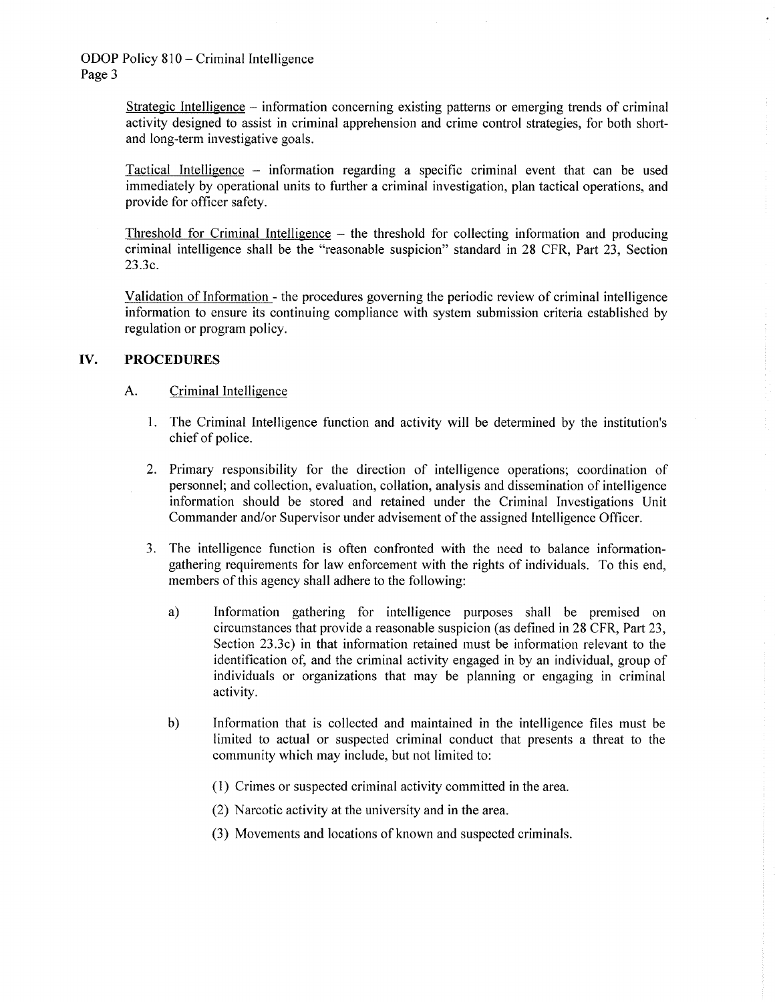Strategic Intelligence – information concerning existing patterns or emerging trends of criminal activity designed to assist in criminal apprehension and crime control strategies, for both shortand long-term investigative goals.

Tactical Intelligence – information regarding a specific criminal event that can be used immediately by operational units to further a criminal investigation, plan tactical operations, and provide for officer safety.

Threshold for Criminal Intelligence – the threshold for collecting information and producing criminal intelligence shall be the "reasonable suspicion" standard in 28 CFR, Part 23, Section 23.3c.

Validation of Information - the procedures governing the periodic review of criminal intelligence information to ensure its continuing compliance with system submission criteria established by regulation or program policy.

### IV. **PROCEDURES**

### $A<sub>1</sub>$ Criminal Intelligence

- 1. The Criminal Intelligence function and activity will be determined by the institution's chief of police.
- 2. Primary responsibility for the direction of intelligence operations; coordination of personnel; and collection, evaluation, collation, analysis and dissemination of intelligence information should be stored and retained under the Criminal Investigations Unit Commander and/or Supervisor under advisement of the assigned Intelligence Officer.
- 3. The intelligence function is often confronted with the need to balance informationgathering requirements for law enforcement with the rights of individuals. To this end, members of this agency shall adhere to the following:
	- Information gathering for intelligence purposes shall be premised on a) circumstances that provide a reasonable suspicion (as defined in 28 CFR, Part 23, Section 23.3c) in that information retained must be information relevant to the identification of, and the criminal activity engaged in by an individual, group of individuals or organizations that may be planning or engaging in criminal activity.
	- $b)$ Information that is collected and maintained in the intelligence files must be limited to actual or suspected criminal conduct that presents a threat to the community which may include, but not limited to:
		- (1) Crimes or suspected criminal activity committed in the area.
		- (2) Narcotic activity at the university and in the area.
		- (3) Movements and locations of known and suspected criminals.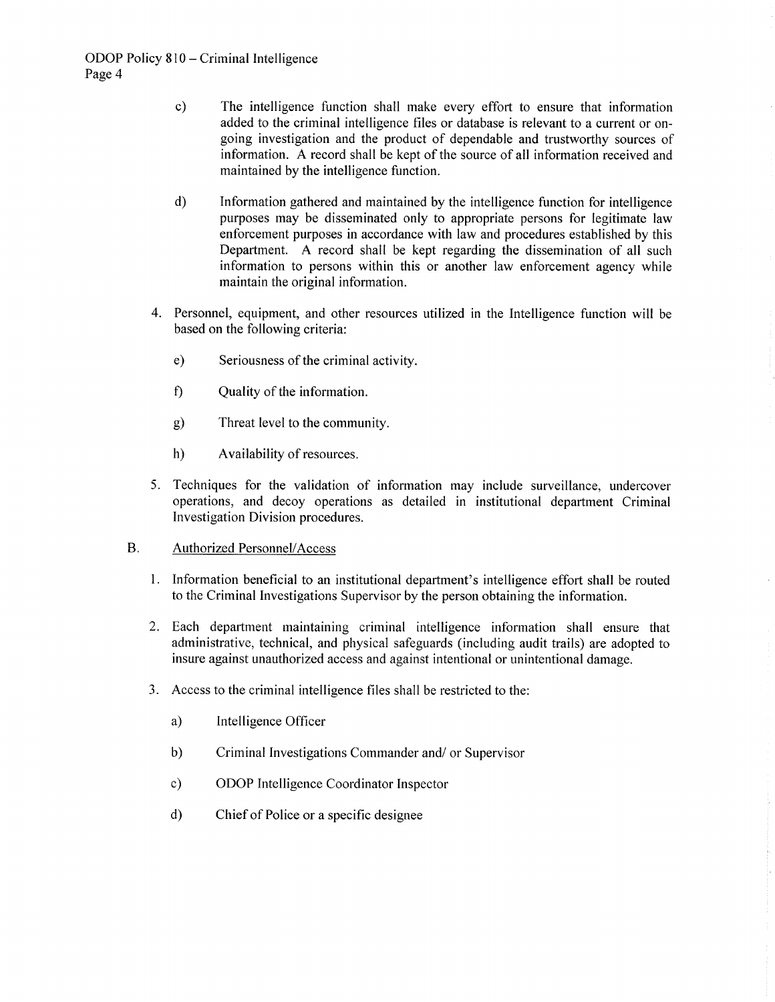- The intelligence function shall make every effort to ensure that information  $c)$ added to the criminal intelligence files or database is relevant to a current or ongoing investigation and the product of dependable and trustworthy sources of information. A record shall be kept of the source of all information received and maintained by the intelligence function.
- $d)$ Information gathered and maintained by the intelligence function for intelligence purposes may be disseminated only to appropriate persons for legitimate law enforcement purposes in accordance with law and procedures established by this Department. A record shall be kept regarding the dissemination of all such information to persons within this or another law enforcement agency while maintain the original information.
- 4. Personnel, equipment, and other resources utilized in the Intelligence function will be based on the following criteria:
	- $e)$ Seriousness of the criminal activity.
	- $\mathbf{f}$ Quality of the information.
	- Threat level to the community.  $g)$
	- $h)$ Availability of resources.
- 5. Techniques for the validation of information may include surveillance, undercover operations, and decoy operations as detailed in institutional department Criminal Investigation Division procedures.

### **B. Authorized Personnel/Access**

- 1. Information beneficial to an institutional department's intelligence effort shall be routed to the Criminal Investigations Supervisor by the person obtaining the information.
- 2. Each department maintaining criminal intelligence information shall ensure that administrative, technical, and physical safeguards (including audit trails) are adopted to insure against unauthorized access and against intentional or unintentional damage.
- 3. Access to the criminal intelligence files shall be restricted to the:
	- $a)$ Intelligence Officer
	- $b)$ Criminal Investigations Commander and/ or Supervisor
	- $c)$ ODOP Intelligence Coordinator Inspector
	- $\mathbf{d}$ Chief of Police or a specific designee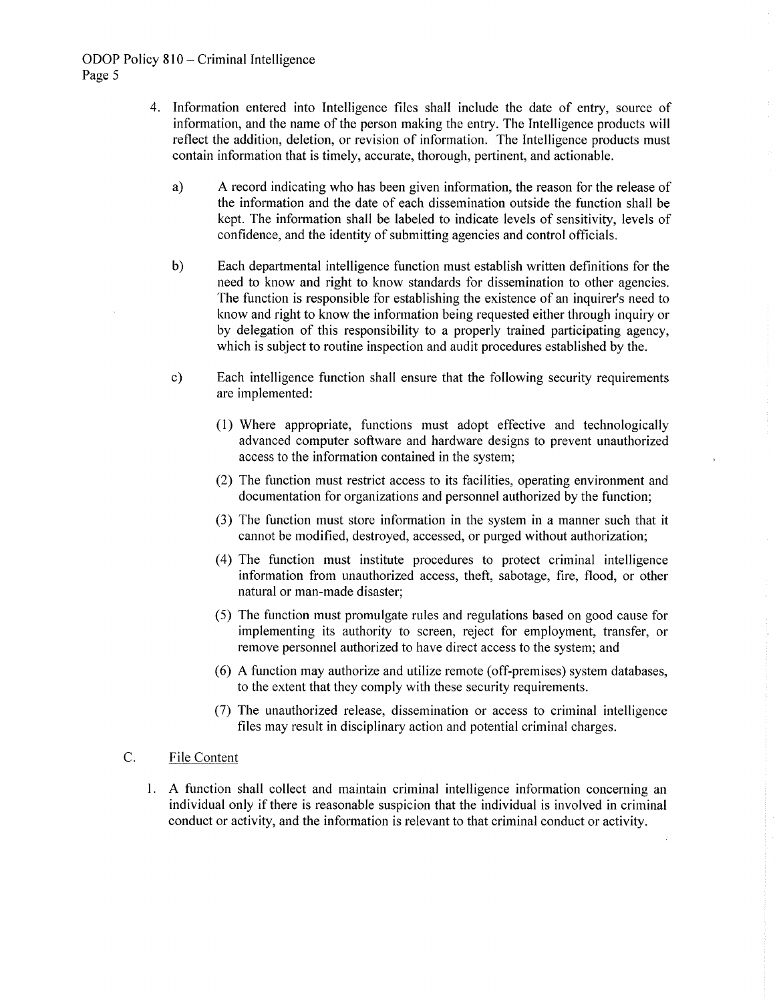# ODOP Policy 810 – Criminal Intelligence Page 5

- 4. Information entered into Intelligence files shall include the date of entry, source of information, and the name of the person making the entry. The Intelligence products will reflect the addition, deletion, or revision of information. The Intelligence products must contain information that is timely, accurate, thorough, pertinent, and actionable.
	- a) A record indicating who has been given information, the reason for the release of the information and the date of each dissemination outside the function shall be kept. The information shall be labeled to indicate levels of sensitivity, levels of confidence, and the identity of submitting agencies and control officials.
	- $b)$ Each departmental intelligence function must establish written definitions for the need to know and right to know standards for dissemination to other agencies. The function is responsible for establishing the existence of an inquirer's need to know and right to know the information being requested either through inquiry or by delegation of this responsibility to a properly trained participating agency, which is subject to routine inspection and audit procedures established by the.
	- $c)$ Each intelligence function shall ensure that the following security requirements are implemented:
		- (1) Where appropriate, functions must adopt effective and technologically advanced computer software and hardware designs to prevent unauthorized access to the information contained in the system;
		- (2) The function must restrict access to its facilities, operating environment and documentation for organizations and personnel authorized by the function;
		- (3) The function must store information in the system in a manner such that it cannot be modified, destroyed, accessed, or purged without authorization;
		- (4) The function must institute procedures to protect criminal intelligence information from unauthorized access, theft, sabotage, fire, flood, or other natural or man-made disaster;
		- (5) The function must promulgate rules and regulations based on good cause for implementing its authority to screen, reject for employment, transfer, or remove personnel authorized to have direct access to the system; and
		- (6) A function may authorize and utilize remote (off-premises) system databases, to the extent that they comply with these security requirements.
		- (7) The unauthorized release, dissemination or access to criminal intelligence files may result in disciplinary action and potential criminal charges.

### C. File Content

1. A function shall collect and maintain criminal intelligence information concerning an individual only if there is reasonable suspicion that the individual is involved in criminal conduct or activity, and the information is relevant to that criminal conduct or activity.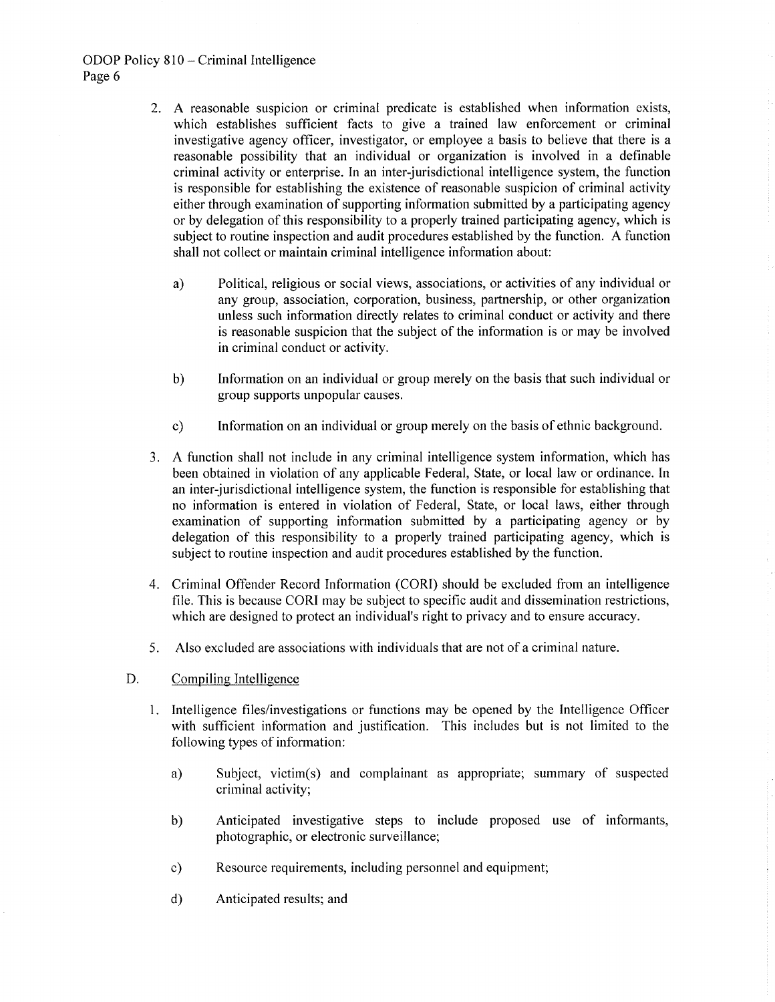# ODOP Policy 810 – Criminal Intelligence Page 6

- 2. A reasonable suspicion or criminal predicate is established when information exists, which establishes sufficient facts to give a trained law enforcement or criminal investigative agency officer, investigator, or employee a basis to believe that there is a reasonable possibility that an individual or organization is involved in a definable criminal activity or enterprise. In an inter-jurisdictional intelligence system, the function is responsible for establishing the existence of reasonable suspicion of criminal activity either through examination of supporting information submitted by a participating agency or by delegation of this responsibility to a properly trained participating agency, which is subject to routine inspection and audit procedures established by the function. A function shall not collect or maintain criminal intelligence information about:
	- Political, religious or social views, associations, or activities of any individual or a) any group, association, corporation, business, partnership, or other organization unless such information directly relates to criminal conduct or activity and there is reasonable suspicion that the subject of the information is or may be involved in criminal conduct or activity.
	- Information on an individual or group merely on the basis that such individual or  $b)$ group supports unpopular causes.
	- Information on an individual or group merely on the basis of ethnic background.  $c)$
- 3. A function shall not include in any criminal intelligence system information, which has been obtained in violation of any applicable Federal, State, or local law or ordinance. In an inter-jurisdictional intelligence system, the function is responsible for establishing that no information is entered in violation of Federal, State, or local laws, either through examination of supporting information submitted by a participating agency or by delegation of this responsibility to a properly trained participating agency, which is subject to routine inspection and audit procedures established by the function.
- 4. Criminal Offender Record Information (CORI) should be excluded from an intelligence file. This is because CORI may be subject to specific audit and dissemination restrictions, which are designed to protect an individual's right to privacy and to ensure accuracy.
- Also excluded are associations with individuals that are not of a criminal nature. 5.
- D. Compiling Intelligence
	- 1. Intelligence files/investigations or functions may be opened by the Intelligence Officer with sufficient information and justification. This includes but is not limited to the following types of information:
		- Subject, victim(s) and complainant as appropriate; summary of suspected a) criminal activity;
		- Anticipated investigative steps to include proposed use of informants,  $b)$ photographic, or electronic surveillance;
		- Resource requirements, including personnel and equipment;  $c)$
		- $\mathbf{d}$ Anticipated results; and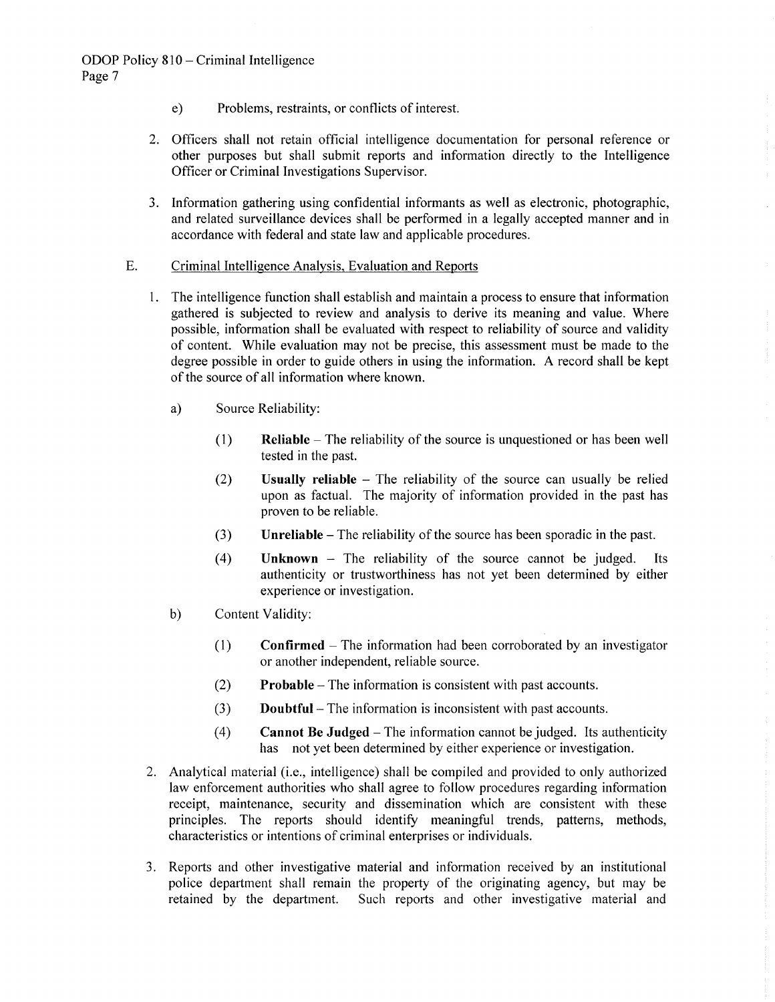- Problems, restraints, or conflicts of interest.  $e)$
- 2. Officers shall not retain official intelligence documentation for personal reference or other purposes but shall submit reports and information directly to the Intelligence Officer or Criminal Investigations Supervisor.
- 3. Information gathering using confidential informants as well as electronic, photographic, and related surveillance devices shall be performed in a legally accepted manner and in accordance with federal and state law and applicable procedures.

### E. Criminal Intelligence Analysis, Evaluation and Reports

- 1. The intelligence function shall establish and maintain a process to ensure that information gathered is subjected to review and analysis to derive its meaning and value. Where possible, information shall be evaluated with respect to reliability of source and validity of content. While evaluation may not be precise, this assessment must be made to the degree possible in order to guide others in using the information. A record shall be kept of the source of all information where known.
	- a) Source Reliability:
		- $\mathbf{Reliable}$  The reliability of the source is unquestioned or has been well  $(1)$ tested in the past.
		- $(2)$ **Usually reliable**  $-$  The reliability of the source can usually be relied upon as factual. The majority of information provided in the past has proven to be reliable.
		- $(3)$ **Unreliable** – The reliability of the source has been sporadic in the past.
		- $(4)$ **Unknown** – The reliability of the source cannot be judged. Its authenticity or trustworthiness has not yet been determined by either experience or investigation.
	- $b)$ Content Validity:
		- $(1)$ **Confirmed** – The information had been corroborated by an investigator or another independent, reliable source.
		- **Probable** The information is consistent with past accounts.  $(2)$
		- $(3)$ **Doubtful** – The information is inconsistent with past accounts.
		- $(4)$ **Cannot Be Judged** – The information cannot be judged. Its authenticity has not yet been determined by either experience or investigation.
- 2. Analytical material (i.e., intelligence) shall be compiled and provided to only authorized law enforcement authorities who shall agree to follow procedures regarding information receipt, maintenance, security and dissemination which are consistent with these principles. The reports should identify meaningful trends, patterns, methods, characteristics or intentions of criminal enterprises or individuals.
- 3. Reports and other investigative material and information received by an institutional police department shall remain the property of the originating agency, but may be retained by the department. Such reports and other investigative material and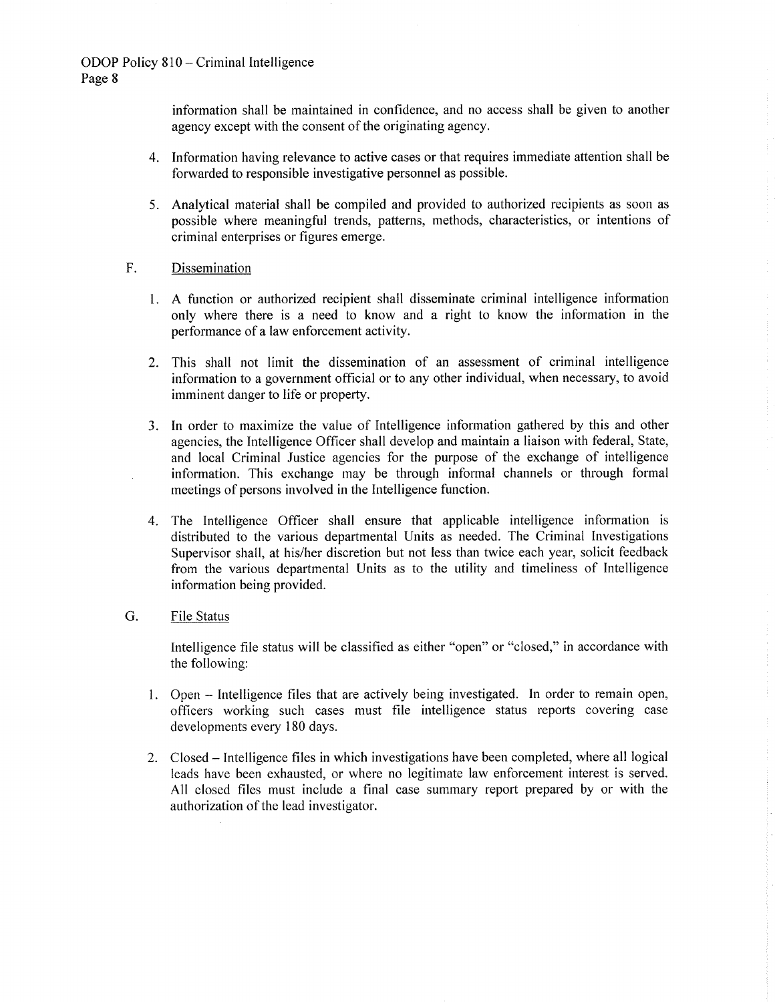information shall be maintained in confidence, and no access shall be given to another agency except with the consent of the originating agency.

- 4. Information having relevance to active cases or that requires immediate attention shall be forwarded to responsible investigative personnel as possible.
- 5. Analytical material shall be compiled and provided to authorized recipients as soon as possible where meaningful trends, patterns, methods, characteristics, or intentions of criminal enterprises or figures emerge.

#### $F_{1}$ Dissemination

- 1. A function or authorized recipient shall disseminate criminal intelligence information only where there is a need to know and a right to know the information in the performance of a law enforcement activity.
- 2. This shall not limit the dissemination of an assessment of criminal intelligence information to a government official or to any other individual, when necessary, to avoid imminent danger to life or property.
- 3. In order to maximize the value of Intelligence information gathered by this and other agencies, the Intelligence Officer shall develop and maintain a liaison with federal, State, and local Criminal Justice agencies for the purpose of the exchange of intelligence information. This exchange may be through informal channels or through formal meetings of persons involved in the Intelligence function.
- 4. The Intelligence Officer shall ensure that applicable intelligence information is distributed to the various departmental Units as needed. The Criminal Investigations Supervisor shall, at his/her discretion but not less than twice each year, solicit feedback from the various departmental Units as to the utility and timeliness of Intelligence information being provided.

#### $G_{\cdot}$ **File Status**

Intelligence file status will be classified as either "open" or "closed," in accordance with the following:

- 1. Open Intelligence files that are actively being investigated. In order to remain open, officers working such cases must file intelligence status reports covering case developments every 180 days.
- 2. Closed Intelligence files in which investigations have been completed, where all logical leads have been exhausted, or where no legitimate law enforcement interest is served. All closed files must include a final case summary report prepared by or with the authorization of the lead investigator.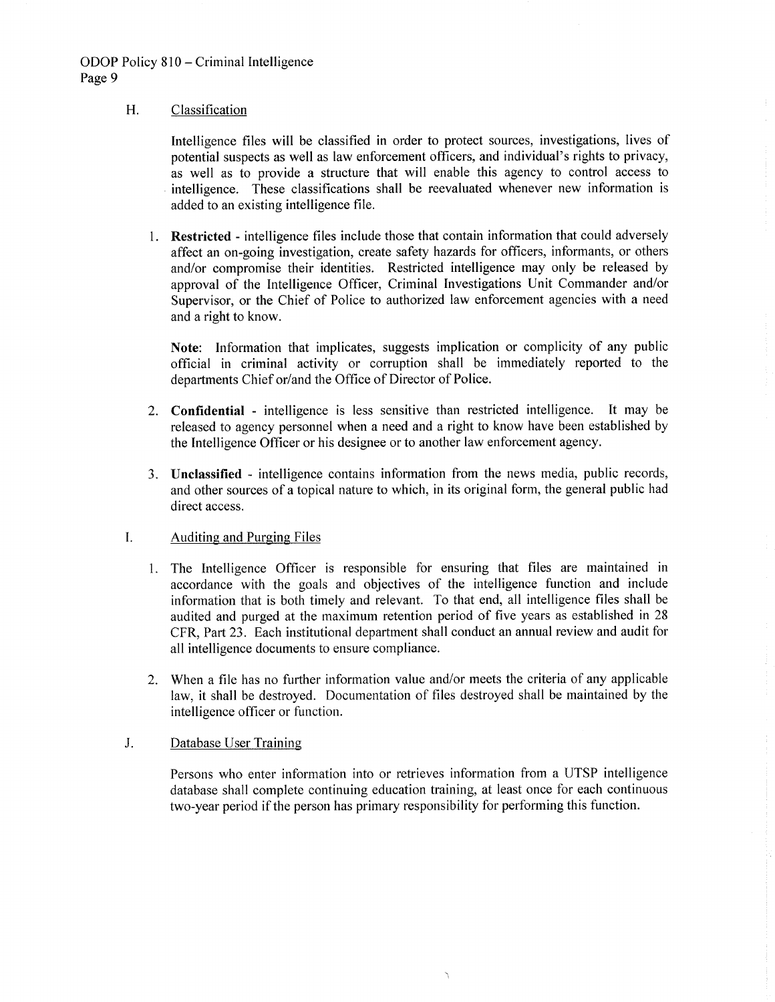#### H. Classification

Intelligence files will be classified in order to protect sources, investigations, lives of potential suspects as well as law enforcement officers, and individual's rights to privacy, as well as to provide a structure that will enable this agency to control access to intelligence. These classifications shall be reevaluated whenever new information is added to an existing intelligence file.

1. Restricted - intelligence files include those that contain information that could adversely affect an on-going investigation, create safety hazards for officers, informants, or others and/or compromise their identities. Restricted intelligence may only be released by approval of the Intelligence Officer, Criminal Investigations Unit Commander and/or Supervisor, or the Chief of Police to authorized law enforcement agencies with a need and a right to know.

Note: Information that implicates, suggests implication or complicity of any public official in criminal activity or corruption shall be immediately reported to the departments Chief or/and the Office of Director of Police.

- 2. Confidential intelligence is less sensitive than restricted intelligence. It may be released to agency personnel when a need and a right to know have been established by the Intelligence Officer or his designee or to another law enforcement agency.
- 3. Unclassified intelligence contains information from the news media, public records, and other sources of a topical nature to which, in its original form, the general public had direct access.

### I. **Auditing and Purging Files**

- 1. The Intelligence Officer is responsible for ensuring that files are maintained in accordance with the goals and objectives of the intelligence function and include information that is both timely and relevant. To that end, all intelligence files shall be audited and purged at the maximum retention period of five years as established in 28 CFR, Part 23. Each institutional department shall conduct an annual review and audit for all intelligence documents to ensure compliance.
- 2. When a file has no further information value and/or meets the criteria of any applicable law, it shall be destroyed. Documentation of files destroyed shall be maintained by the intelligence officer or function.

#### $J<sub>r</sub>$ Database User Training

Persons who enter information into or retrieves information from a UTSP intelligence database shall complete continuing education training, at least once for each continuous two-year period if the person has primary responsibility for performing this function.